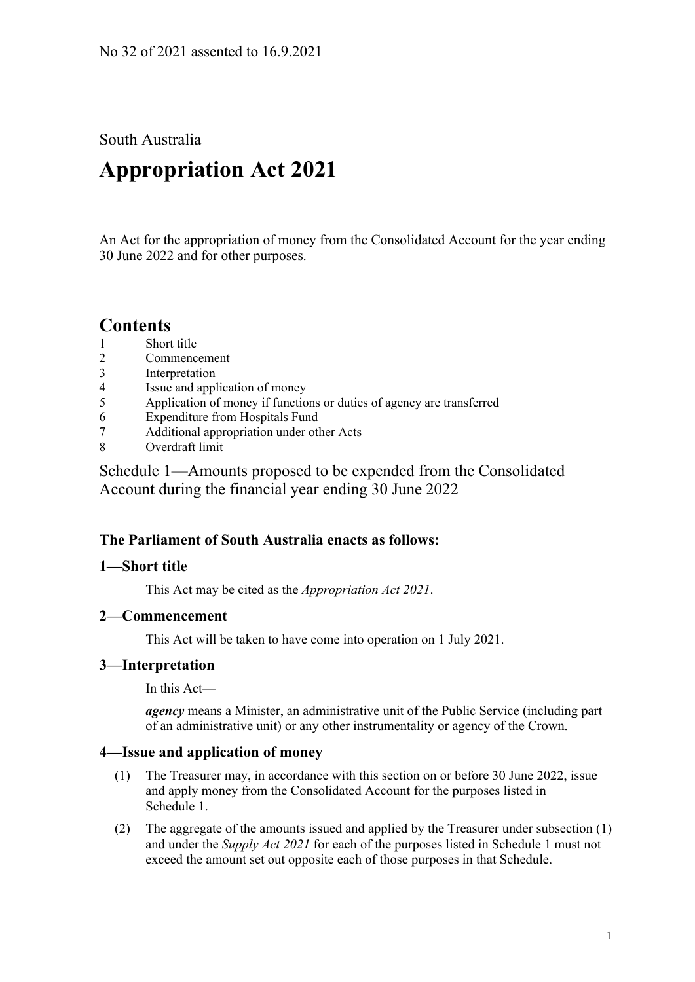South Australia

# **Appropriation Act 2021**

An Act for the appropriation of money from the Consolidated Account for the year ending 30 June 2022 and for other purposes.

### **Contents**

- 1 [Short title](#page-0-0)
- 2 [Commencement](#page-0-1)
- 3 [Interpretation](#page-0-2)
- 4 [Issue and application of money](#page-0-3)
- 5 [Application of money if functions or duties of agency are transferred](#page-1-0)
- 6 [Expenditure from Hospitals Fund](#page-1-1)
- 7 [Additional appropriation under other Acts](#page-1-2)
- 8 [Overdraft limit](#page-1-3)

Schedule [1—Amounts proposed to be expended from the Consolidated](#page-1-4)  [Account during the financial year ending 30](#page-1-4) June 2022

#### **The Parliament of South Australia enacts as follows:**

#### <span id="page-0-0"></span>**1—Short title**

This Act may be cited as the *Appropriation Act 2021*.

#### <span id="page-0-1"></span>**2—Commencement**

This Act will be taken to have come into operation on 1 July 2021.

#### <span id="page-0-2"></span>**3—Interpretation**

In this Act—

*agency* means a Minister, an administrative unit of the Public Service (including part of an administrative unit) or any other instrumentality or agency of the Crown.

#### <span id="page-0-4"></span><span id="page-0-3"></span>**4—Issue and application of money**

- (1) The Treasurer may, in accordance with this section on or before 30 June 2022, issue and apply money from the Consolidated Account for the purposes listed in [Schedule](#page-1-4) 1.
- (2) The aggregate of the amounts issued and applied by the Treasurer under [subsection](#page-0-4) (1) and under the *[Supply Act](http://www.legislation.sa.gov.au/index.aspx?action=legref&type=act&legtitle=Supply%20Act%202021) 2021* for each of the purposes listed in [Schedule](#page-1-4) 1 must not exceed the amount set out opposite each of those purposes in that Schedule.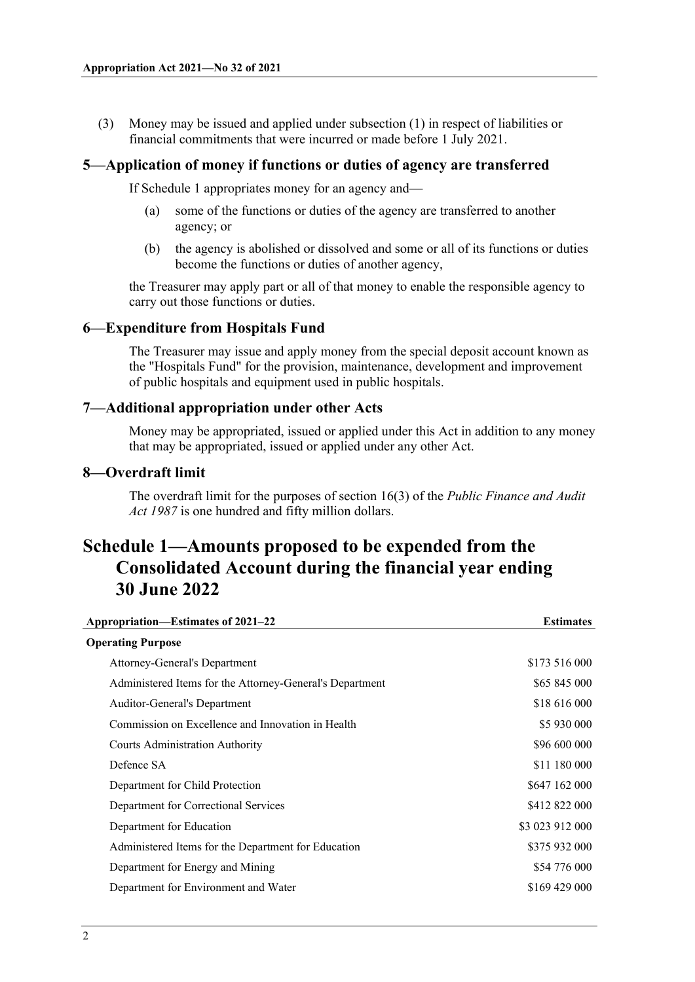(3) Money may be issued and applied under [subsection](#page-0-4) (1) in respect of liabilities or financial commitments that were incurred or made before 1 July 2021.

#### <span id="page-1-0"></span>**5—Application of money if functions or duties of agency are transferred**

If [Schedule](#page-1-4) 1 appropriates money for an agency and—

- (a) some of the functions or duties of the agency are transferred to another agency; or
- (b) the agency is abolished or dissolved and some or all of its functions or duties become the functions or duties of another agency,

the Treasurer may apply part or all of that money to enable the responsible agency to carry out those functions or duties.

#### <span id="page-1-1"></span>**6—Expenditure from Hospitals Fund**

The Treasurer may issue and apply money from the special deposit account known as the "Hospitals Fund" for the provision, maintenance, development and improvement of public hospitals and equipment used in public hospitals.

#### <span id="page-1-2"></span>**7—Additional appropriation under other Acts**

Money may be appropriated, issued or applied under this Act in addition to any money that may be appropriated, issued or applied under any other Act.

#### <span id="page-1-3"></span>**8—Overdraft limit**

The overdraft limit for the purposes of section 16(3) of the *[Public Finance and Audit](http://www.legislation.sa.gov.au/index.aspx?action=legref&type=act&legtitle=Public%20Finance%20and%20Audit%20Act%201987)  Act [1987](http://www.legislation.sa.gov.au/index.aspx?action=legref&type=act&legtitle=Public%20Finance%20and%20Audit%20Act%201987)* is one hundred and fifty million dollars.

## <span id="page-1-4"></span>**Schedule 1—Amounts proposed to be expended from the Consolidated Account during the financial year ending 30 June 2022**

| Appropriation—Estimates of 2021-22                       | <b>Estimates</b> |
|----------------------------------------------------------|------------------|
| <b>Operating Purpose</b>                                 |                  |
| Attorney-General's Department                            | \$173 516 000    |
| Administered Items for the Attorney-General's Department | \$65 845 000     |
| Auditor-General's Department                             | \$18 616 000     |
| Commission on Excellence and Innovation in Health        | \$5 930 000      |
| <b>Courts Administration Authority</b>                   | \$96 600 000     |
| Defence SA                                               | \$11 180 000     |
| Department for Child Protection                          | \$647 162 000    |
| Department for Correctional Services                     | \$412 822 000    |
| Department for Education                                 | \$3 023 912 000  |
| Administered Items for the Department for Education      | \$375 932 000    |
| Department for Energy and Mining                         | \$54 776 000     |
| Department for Environment and Water                     | \$169 429 000    |
|                                                          |                  |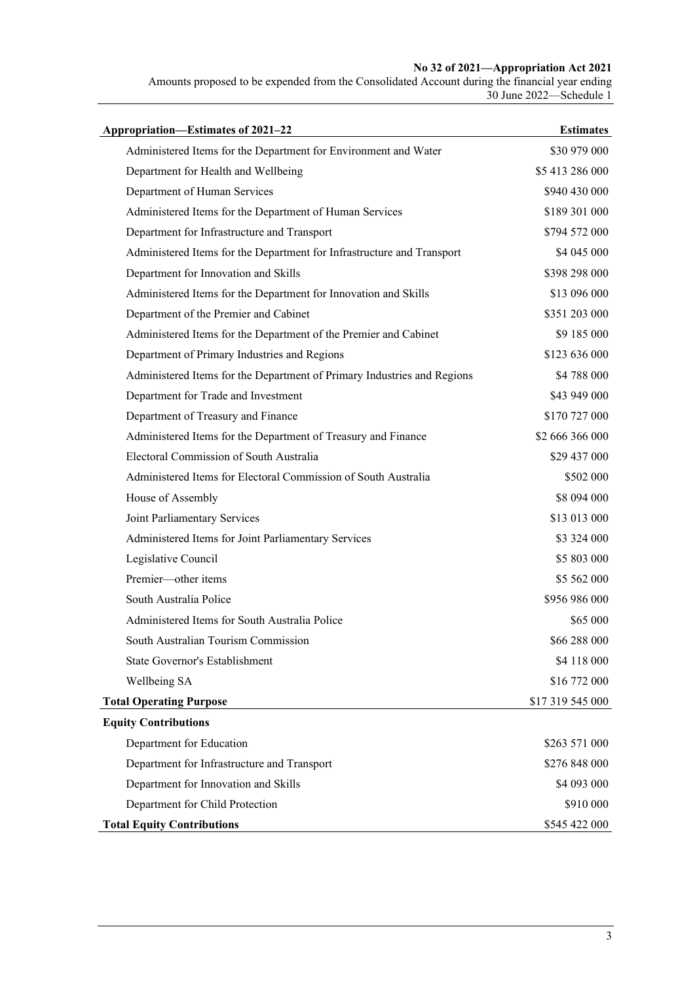#### **No 32 of 2021—Appropriation Act 2021**

Amounts proposed to be expended from the Consolidated Account during the financial year ending 30 June 2022—Schedule 1

| Appropriation-Estimates of 2021-22                                      | <b>Estimates</b> |
|-------------------------------------------------------------------------|------------------|
| Administered Items for the Department for Environment and Water         | \$30 979 000     |
| Department for Health and Wellbeing                                     | \$5 413 286 000  |
| Department of Human Services                                            | \$940 430 000    |
| Administered Items for the Department of Human Services                 | \$189 301 000    |
| Department for Infrastructure and Transport                             | \$794 572 000    |
| Administered Items for the Department for Infrastructure and Transport  | \$4 045 000      |
| Department for Innovation and Skills                                    | \$398 298 000    |
| Administered Items for the Department for Innovation and Skills         | \$13 096 000     |
| Department of the Premier and Cabinet                                   | \$351 203 000    |
| Administered Items for the Department of the Premier and Cabinet        | \$9 185 000      |
| Department of Primary Industries and Regions                            | \$123 636 000    |
| Administered Items for the Department of Primary Industries and Regions | \$4 788 000      |
| Department for Trade and Investment                                     | \$43 949 000     |
| Department of Treasury and Finance                                      | \$170 727 000    |
| Administered Items for the Department of Treasury and Finance           | \$2 666 366 000  |
| Electoral Commission of South Australia                                 | \$29 437 000     |
| Administered Items for Electoral Commission of South Australia          | \$502 000        |
| House of Assembly                                                       | \$8 094 000      |
| Joint Parliamentary Services                                            | \$13 013 000     |
| Administered Items for Joint Parliamentary Services                     | \$3 324 000      |
| Legislative Council                                                     | \$5 803 000      |
| Premier-other items                                                     | \$5 562 000      |
| South Australia Police                                                  | \$956 986 000    |
| Administered Items for South Australia Police                           | \$65 000         |
| South Australian Tourism Commission                                     | \$66 288 000     |
| State Governor's Establishment                                          | \$4 118 000      |
| Wellbeing SA                                                            | \$16 772 000     |
| <b>Total Operating Purpose</b>                                          | \$17 319 545 000 |
| <b>Equity Contributions</b>                                             |                  |
| Department for Education                                                | \$263 571 000    |
| Department for Infrastructure and Transport                             | \$276 848 000    |
| Department for Innovation and Skills                                    | \$4 093 000      |
| Department for Child Protection                                         | \$910 000        |
| <b>Total Equity Contributions</b>                                       | \$545 422 000    |